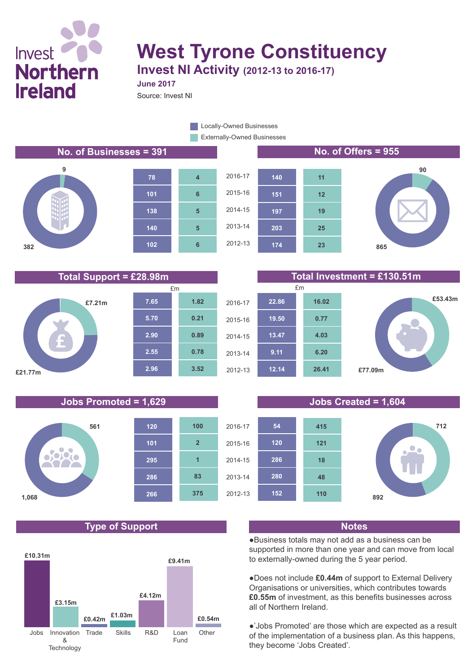# Invest<sup>1</sup> **Northern Ireland**

## **West Tyrone Constituency Invest NI Activity (2012-13 to 2016-17)**

**June 2017**

Source: Invest NI

Externally-Owned Businesses **Locally-Owned Businesses** 

### **No. of Businesses = 391 No. of Offers = 955**













### **Type of Support Notes**



**Total Support = £28.98m Total Investment = £130.51m**



### **Jobs Promoted = 1,629 Jobs Created = 1,604**



●Business totals may not add as a business can be supported in more than one year and can move from local to externally-owned during the 5 year period.

●Does not include **£0.44m** of support to External Delivery Organisations or universities, which contributes towards **£0.55m** of investment, as this benefits businesses across all of Northern Ireland.

●'Jobs Promoted' are those which are expected as a result of the implementation of a business plan. As this happens, they become 'Jobs Created'.